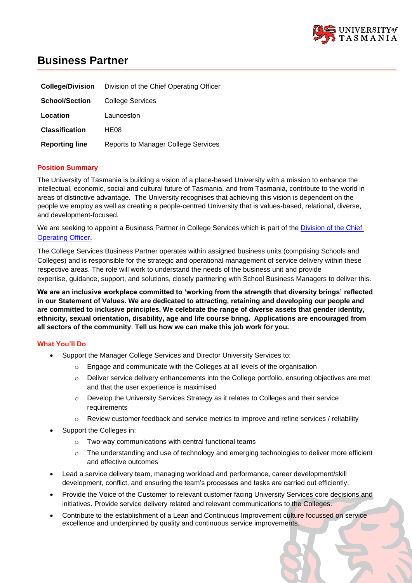

# **Business Partner**

| <b>College/Division</b> | Division of the Chief Operating Officer    |
|-------------------------|--------------------------------------------|
| <b>School/Section</b>   | College Services                           |
| Location                | Launceston                                 |
| <b>Classification</b>   | HE08                                       |
| <b>Reporting line</b>   | <b>Reports to Manager College Services</b> |

#### **Position Summary**

The University of Tasmania is building a vision of a place-based University with a mission to enhance the intellectual, economic, social and cultural future of Tasmania, and from Tasmania, contribute to the world in areas of distinctive advantage. The University recognises that achieving this vision is dependent on the people we employ as well as creating a people-centred University that is values-based, relational, diverse, and development-focused.

We are seeking to appoint a Business Partner in College Services which is part of the Division of the Chief **[Operating Officer](https://universitytasmania.sharepoint.com/sites/division-of-the-coo).** 

The College Services Business Partner operates within assigned business units (comprising Schools and Colleges) and is responsible for the strategic and operational management of service delivery within these respective areas. The role will work to understand the needs of the business unit and provide expertise, guidance, support, and solutions, closely partnering with School Business Managers to deliver this.

**We are an inclusive workplace committed to 'working from the strength that diversity brings' reflected in our Statement of Values. We are dedicated to attracting, retaining and developing our people and are committed to inclusive principles. We celebrate the range of diverse assets that gender identity, ethnicity, sexual orientation, disability, age and life course bring. Applications are encouraged from all sectors of the community**. **Tell us how we can make this job work for you.**

#### **What You'll Do**

- Support the Manager College Services and Director University Services to:
	- Engage and communicate with the Colleges at all levels of the organisation
	- o Deliver service delivery enhancements into the College portfolio, ensuring objectives are met and that the user experience is maximised
	- $\circ$  Develop the University Services Strategy as it relates to Colleges and their service requirements
	- Review customer feedback and service metrics to improve and refine services / reliability
- Support the Colleges in:
	- o Two-way communications with central functional teams
	- $\circ$  The understanding and use of technology and emerging technologies to deliver more efficient and effective outcomes
- Lead a service delivery team, managing workload and performance, career development/skill development, conflict, and ensuring the team's processes and tasks are carried out efficiently.
- Provide the Voice of the Customer to relevant customer facing University Services core decisions and initiatives. Provide service delivery related and relevant communications to the Colleges.
- Contribute to the establishment of a Lean and Continuous Improvement culture focussed on service excellence and underpinned by quality and continuous service improvements.